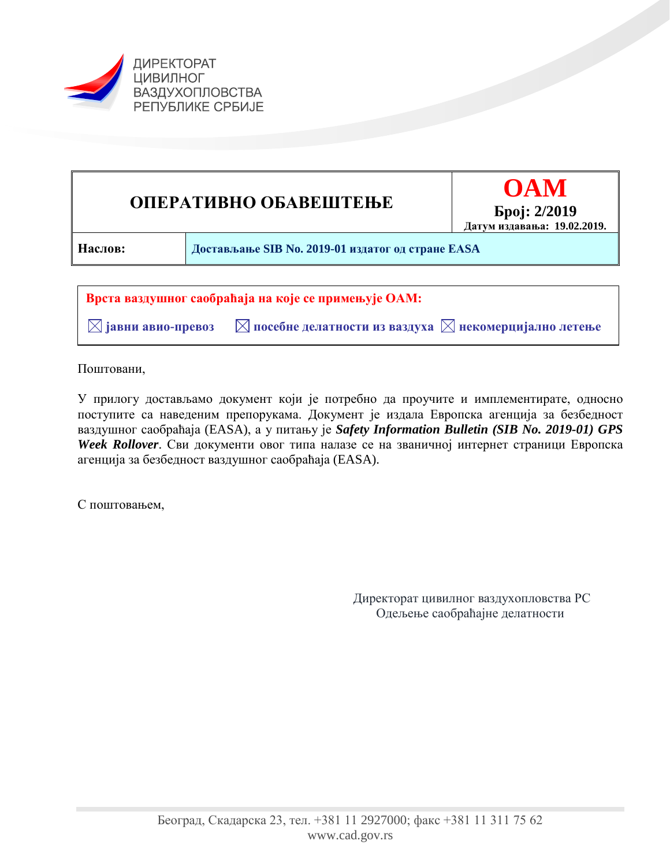



 $\boxtimes$  јавни авио-превоз  $\blacksquare$  посебне делатности из ваздуха  $\boxtimes$  некомерцијално летење

Поштовани,

У прилогу достављамо документ који је потребно да проучите и имплементирате, односно поступите са наведеним препорукама. Документ је издала Европска агенција за безбедност ваздушног саобраћаја (EASA), а у питању је *Safety Information Bulletin (SIB No. 2019-01) GPS Week Rollover*. Сви документи овог типа налазе се на званичној интернет страници Европска агенција за безбедност ваздушног саобраћаја (EASA).

С поштовањем,

Директорат цивилног ваздухопловства РС Одељење саобраћајне делатности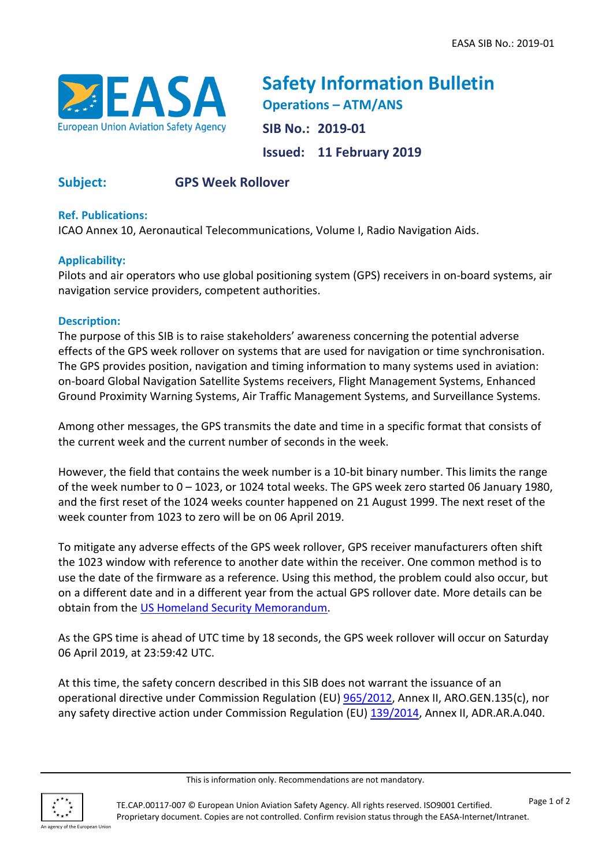

**Safety Information Bulletin Operations – ATM/ANS SIB No.: 2019-01 Issued: 11 February 2019**

# **Subject: GPS Week Rollover**

## **Ref. Publications:**

ICAO Annex 10, Aeronautical Telecommunications, Volume I, Radio Navigation Aids.

### **Applicability:**

Pilots and air operators who use global positioning system (GPS) receivers in on-board systems, air navigation service providers, competent authorities.

### **Description:**

The purpose of this SIB is to raise stakeholders' awareness concerning the potential adverse effects of the GPS week rollover on systems that are used for navigation or time synchronisation. The GPS provides position, navigation and timing information to many systems used in aviation: on-board Global Navigation Satellite Systems receivers, Flight Management Systems, Enhanced Ground Proximity Warning Systems, Air Traffic Management Systems, and Surveillance Systems.

Among other messages, the GPS transmits the date and time in a specific format that consists of the current week and the current number of seconds in the week.

However, the field that contains the week number is a 10-bit binary number. This limits the range of the week number to 0 – 1023, or 1024 total weeks. The GPS week zero started 06 January 1980, and the first reset of the 1024 weeks counter happened on 21 August 1999. The next reset of the week counter from 1023 to zero will be on 06 April 2019.

To mitigate any adverse effects of the GPS week rollover, GPS receiver manufacturers often shift the 1023 window with reference to another date within the receiver. One common method is to use the date of the firmware as a reference. Using this method, the problem could also occur, but on a different date and in a different year from the actual GPS rollover date. More details can be obtain from the [US Homeland Security Memorandum.](https://ics-cert.us-cert.gov/sites/default/files/documents/Memorandum_on_GPS_2019.pdf)

As the GPS time is ahead of UTC time by 18 seconds, the GPS week rollover will occur on Saturday 06 April 2019, at 23:59:42 UTC.

At this time, the safety concern described in this SIB does not warrant the issuance of an operational directive under Commission Regulation (EU) [965/2012,](https://eur-lex.europa.eu/eli/reg/2012/965/2014-02-17) Annex II, ARO.GEN.135(c), nor any safety directive action under Commission Regulation (EU) [139/2014,](https://eur-lex.europa.eu/legal-content/EN/TXT/?uri=CELEX%3A32014R0139) Annex II, ADR.AR.A.040.